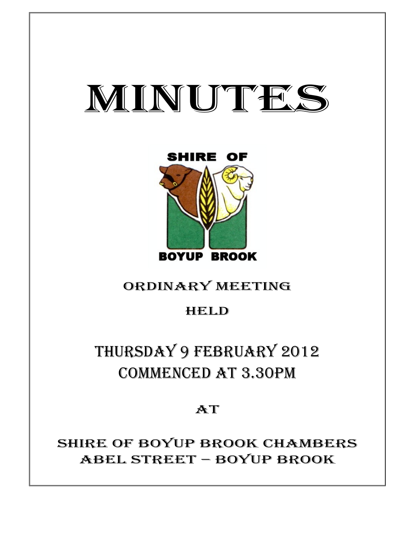# MINUTES



# ORDINARY MEETING

## HELD

# THURSDAY 9 FEBRUARY 2012 COMMENCED AT 3.30PM

 $AT$ 

# SHIRE OF BOYUP BROOK CHAMBERS ABEL STREET – BOYUP BROOK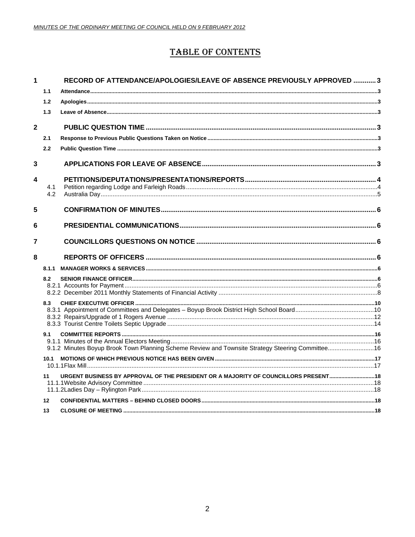### **TABLE OF CONTENTS**

| 1                       |            | RECORD OF ATTENDANCE/APOLOGIES/LEAVE OF ABSENCE PREVIOUSLY APPROVED 3                            |  |
|-------------------------|------------|--------------------------------------------------------------------------------------------------|--|
|                         | 1.1        |                                                                                                  |  |
|                         | 1.2        |                                                                                                  |  |
|                         | 1.3        |                                                                                                  |  |
| $\overline{\mathbf{2}}$ |            |                                                                                                  |  |
|                         | 2.1        |                                                                                                  |  |
|                         | 2.2        |                                                                                                  |  |
| 3                       |            |                                                                                                  |  |
| 4                       |            |                                                                                                  |  |
|                         | 4.1<br>4.2 |                                                                                                  |  |
|                         |            |                                                                                                  |  |
| 5                       |            |                                                                                                  |  |
| 6                       |            |                                                                                                  |  |
| 7                       |            |                                                                                                  |  |
| 8                       |            |                                                                                                  |  |
|                         | 8.1.1      |                                                                                                  |  |
|                         | 8.2        |                                                                                                  |  |
|                         |            |                                                                                                  |  |
|                         |            |                                                                                                  |  |
|                         | 8.3        |                                                                                                  |  |
|                         |            |                                                                                                  |  |
|                         |            |                                                                                                  |  |
|                         | 9.1        |                                                                                                  |  |
|                         |            | 9.1.2 Minutes Boyup Brook Town Planning Scheme Review and Townsite Strategy Steering Committee16 |  |
|                         | 10.1       |                                                                                                  |  |
|                         |            |                                                                                                  |  |
|                         | 11         | URGENT BUSINESS BY APPROVAL OF THE PRESIDENT OR A MAJORITY OF COUNCILLORS PRESENT18              |  |
|                         |            |                                                                                                  |  |
|                         |            |                                                                                                  |  |
|                         | 12         |                                                                                                  |  |
|                         | 13         |                                                                                                  |  |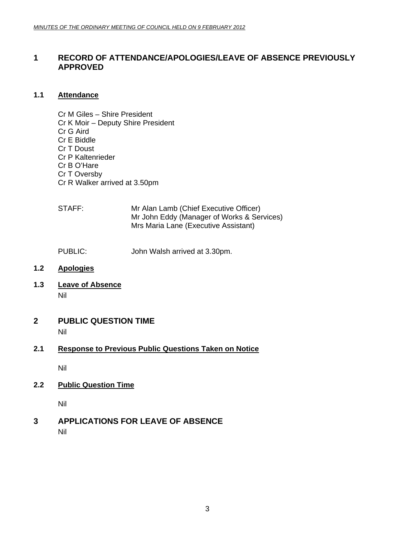### <span id="page-2-0"></span>**1 RECORD OF ATTENDANCE/APOLOGIES/LEAVE OF ABSENCE PREVIOUSLY APPROVED**

#### **1.1 Attendance**

- Cr M Giles Shire President Cr K Moir – Deputy Shire President Cr G Aird Cr E Biddle Cr T Doust Cr P Kaltenrieder Cr B O'Hare Cr T Oversby Cr R Walker arrived at 3.50pm
- STAFF: Mr Alan Lamb (Chief Executive Officer) Mr John Eddy (Manager of Works & Services) Mrs Maria Lane (Executive Assistant)
- PUBLIC: John Walsh arrived at 3.30pm.
- **1.2 Apologies**
- **1.3 Leave of Absence** Nil
- **2 PUBLIC QUESTION TIME**

Nil

### **2.1 Response to Previous Public Questions Taken on Notice**

Nil

**2.2 Public Question Time**

Nil

**3 APPLICATIONS FOR LEAVE OF ABSENCE**  Nil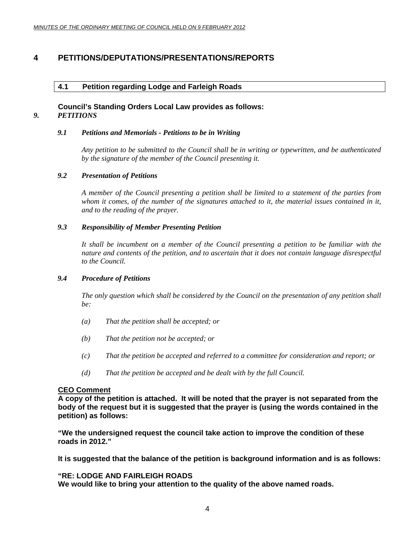### <span id="page-3-0"></span>**4 PETITIONS/DEPUTATIONS/PRESENTATIONS/REPORTS**

#### **4.1 Petition regarding Lodge and Farleigh Roads**

#### **Council's Standing Orders Local Law provides as follows:**  *9. PETITIONS*

#### *9.1 Petitions and Memorials - Petitions to be in Writing*

*Any petition to be submitted to the Council shall be in writing or typewritten, and be authenticated by the signature of the member of the Council presenting it.* 

#### *9.2 Presentation of Petitions*

*A member of the Council presenting a petition shall be limited to a statement of the parties from whom it comes, of the number of the signatures attached to it, the material issues contained in it, and to the reading of the prayer.* 

#### *9.3 Responsibility of Member Presenting Petition*

*It shall be incumbent on a member of the Council presenting a petition to be familiar with the nature and contents of the petition, and to ascertain that it does not contain language disrespectful to the Council.* 

#### *9.4 Procedure of Petitions*

*The only question which shall be considered by the Council on the presentation of any petition shall be:* 

- *(a) That the petition shall be accepted; or*
- *(b) That the petition not be accepted; or*
- *(c) That the petition be accepted and referred to a committee for consideration and report; or*
- *(d) That the petition be accepted and be dealt with by the full Council.*

#### **CEO Comment**

**A copy of the petition is attached. It will be noted that the prayer is not separated from the body of the request but it is suggested that the prayer is (using the words contained in the petition) as follows:** 

**"We the undersigned request the council take action to improve the condition of these roads in 2012."** 

**It is suggested that the balance of the petition is background information and is as follows:** 

#### **"RE: LODGE AND FAIRLEIGH ROADS**

**We would like to bring your attention to the quality of the above named roads.**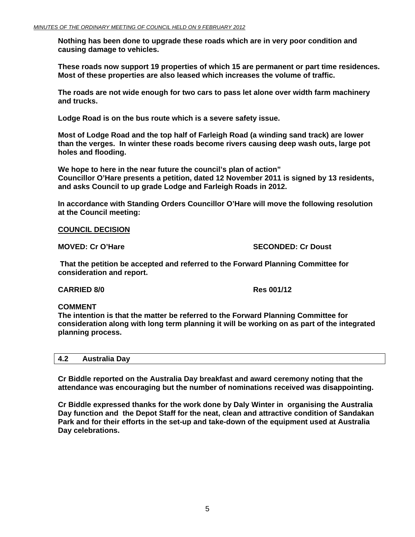<span id="page-4-0"></span>**Nothing has been done to upgrade these roads which are in very poor condition and causing damage to vehicles.** 

**These roads now support 19 properties of which 15 are permanent or part time residences. Most of these properties are also leased which increases the volume of traffic.** 

**The roads are not wide enough for two cars to pass let alone over width farm machinery and trucks.** 

**Lodge Road is on the bus route which is a severe safety issue.** 

**Most of Lodge Road and the top half of Farleigh Road (a winding sand track) are lower than the verges. In winter these roads become rivers causing deep wash outs, large pot holes and flooding.** 

**We hope to here in the near future the council's plan of action" Councillor O'Hare presents a petition, dated 12 November 2011 is signed by 13 residents, and asks Council to up grade Lodge and Farleigh Roads in 2012.** 

**In accordance with Standing Orders Councillor O'Hare will move the following resolution at the Council meeting:** 

#### **COUNCIL DECISION**

**MOVED: Cr O'Hare SECONDED: Cr Doust** 

 **That the petition be accepted and referred to the Forward Planning Committee for consideration and report.** 

**CARRIED 8/0 Res 001/12** 

#### **COMMENT**

**The intention is that the matter be referred to the Forward Planning Committee for consideration along with long term planning it will be working on as part of the integrated planning process.** 

| 4.2 | <b>Australia Day</b> |  |
|-----|----------------------|--|
|     |                      |  |

**Cr Biddle reported on the Australia Day breakfast and award ceremony noting that the attendance was encouraging but the number of nominations received was disappointing.** 

**Cr Biddle expressed thanks for the work done by Daly Winter in organising the Australia Day function and the Depot Staff for the neat, clean and attractive condition of Sandakan Park and for their efforts in the set-up and take-down of the equipment used at Australia Day celebrations.**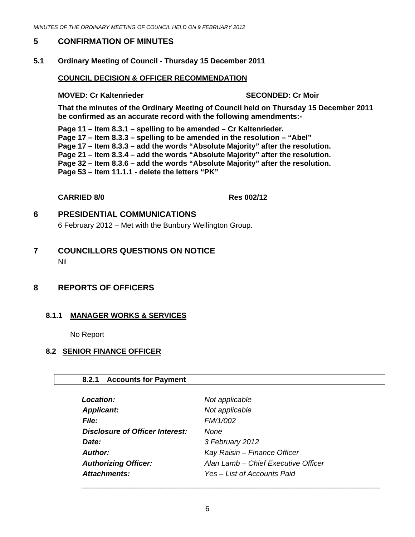#### <span id="page-5-0"></span>**5 CONFIRMATION OF MINUTES**

#### **5.1 Ordinary Meeting of Council - Thursday 15 December 2011**

#### **COUNCIL DECISION & OFFICER RECOMMENDATION**

#### **MOVED: Cr Kaltenrieder SECONDED: Cr Moir and SECONDED: Cr Moir**

**That the minutes of the Ordinary Meeting of Council held on Thursday 15 December 2011 be confirmed as an accurate record with the following amendments:-** 

**Page 11 – Item 8.3.1 – spelling to be amended – Cr Kaltenrieder. Page 17 – Item 8.3.3 – spelling to be amended in the resolution – "Abel" Page 17 – Item 8.3.3 – add the words "Absolute Majority" after the resolution. Page 21 – Item 8.3.4 – add the words "Absolute Majority" after the resolution. Page 32 – Item 8.3.6 – add the words "Absolute Majority" after the resolution. Page 53 – Item 11.1.1 - delete the letters "PK"** 

#### **CARRIED 8/0 Res 002/12**

#### **6 PRESIDENTIAL COMMUNICATIONS**

6 February 2012 – Met with the Bunbury Wellington Group.

#### **7 COUNCILLORS QUESTIONS ON NOTICE**  Nil

### **8 REPORTS OF OFFICERS**

#### **8.1.1 MANAGER WORKS & SERVICES**

No Report

#### **8.2 SENIOR FINANCE OFFICER**

#### **8.2.1 Accounts for Payment**

| <b>Location:</b>                       | Not applicable                      |
|----------------------------------------|-------------------------------------|
| <b>Applicant:</b>                      | Not applicable                      |
| <b>File:</b>                           | FM/1/002                            |
| <b>Disclosure of Officer Interest:</b> | None                                |
| Date:                                  | 3 February 2012                     |
| Author:                                | Kay Raisin - Finance Officer        |
| <b>Authorizing Officer:</b>            | Alan Lamb - Chief Executive Officer |
| Attachments:                           | Yes - List of Accounts Paid         |

 $\overline{\phantom{a}}$  , and the contract of the contract of the contract of the contract of the contract of the contract of the contract of the contract of the contract of the contract of the contract of the contract of the contrac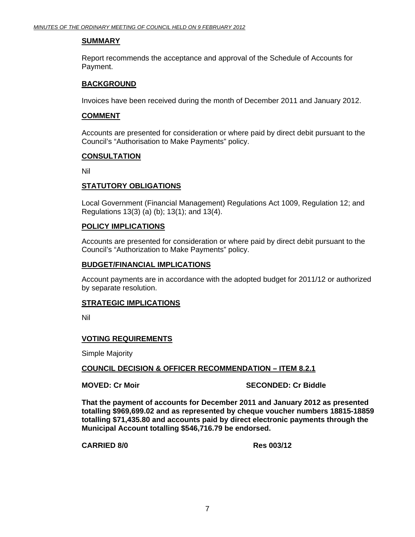#### **SUMMARY**

Report recommends the acceptance and approval of the Schedule of Accounts for Payment.

#### **BACKGROUND**

Invoices have been received during the month of December 2011 and January 2012.

#### **COMMENT**

Accounts are presented for consideration or where paid by direct debit pursuant to the Council's "Authorisation to Make Payments" policy.

#### **CONSULTATION**

Nil

#### **STATUTORY OBLIGATIONS**

Local Government (Financial Management) Regulations Act 1009, Regulation 12; and Regulations 13(3) (a) (b); 13(1); and 13(4).

#### **POLICY IMPLICATIONS**

Accounts are presented for consideration or where paid by direct debit pursuant to the Council's "Authorization to Make Payments" policy.

#### **BUDGET/FINANCIAL IMPLICATIONS**

Account payments are in accordance with the adopted budget for 2011/12 or authorized by separate resolution.

#### **STRATEGIC IMPLICATIONS**

Nil

#### **VOTING REQUIREMENTS**

Simple Majority

#### **COUNCIL DECISION & OFFICER RECOMMENDATION – ITEM 8.2.1**

#### **MOVED: Cr Moir SECONDED: Cr Biddle**

**That the payment of accounts for December 2011 and January 2012 as presented totalling \$969,699.02 and as represented by cheque voucher numbers 18815-18859 totalling \$71,435.80 and accounts paid by direct electronic payments through the Municipal Account totalling \$546,716.79 be endorsed.** 

**CARRIED 8/0 Res 003/12**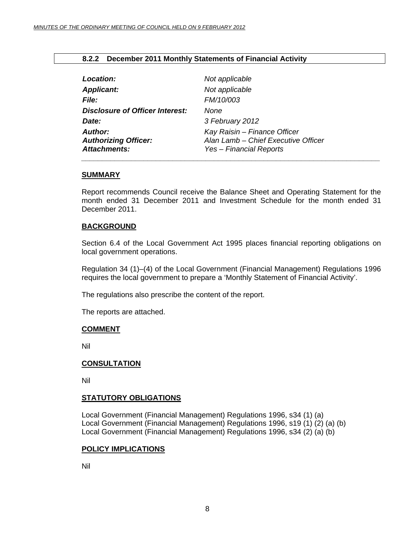#### **8.2.2 December 2011 Monthly Statements of Financial Activity**

<span id="page-7-0"></span>

| Location:                                                     | Not applicable                                                                                 |
|---------------------------------------------------------------|------------------------------------------------------------------------------------------------|
| <b>Applicant:</b>                                             | Not applicable                                                                                 |
| <b>File:</b>                                                  | FM/10/003                                                                                      |
| <b>Disclosure of Officer Interest:</b>                        | None                                                                                           |
| Date:                                                         | 3 February 2012                                                                                |
| <b>Author:</b><br><b>Authorizing Officer:</b><br>Attachments: | Kay Raisin - Finance Officer<br>Alan Lamb - Chief Executive Officer<br>Yes - Financial Reports |

#### **SUMMARY**

Report recommends Council receive the Balance Sheet and Operating Statement for the month ended 31 December 2011 and Investment Schedule for the month ended 31 December 2011.

#### **BACKGROUND**

Section 6.4 of the Local Government Act 1995 places financial reporting obligations on local government operations.

Regulation 34 (1)–(4) of the Local Government (Financial Management) Regulations 1996 requires the local government to prepare a 'Monthly Statement of Financial Activity'.

The regulations also prescribe the content of the report.

The reports are attached.

#### **COMMENT**

Nil

#### **CONSULTATION**

Nil

#### **STATUTORY OBLIGATIONS**

Local Government (Financial Management) Regulations 1996, s34 (1) (a) Local Government (Financial Management) Regulations 1996, s19 (1) (2) (a) (b) Local Government (Financial Management) Regulations 1996, s34 (2) (a) (b)

#### **POLICY IMPLICATIONS**

Nil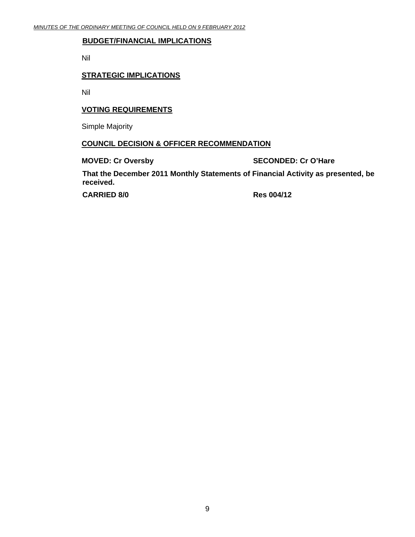#### **BUDGET/FINANCIAL IMPLICATIONS**

Nil

#### **STRATEGIC IMPLICATIONS**

Nil

#### **VOTING REQUIREMENTS**

Simple Majority

#### **COUNCIL DECISION & OFFICER RECOMMENDATION**

**MOVED: Cr Oversby SECONDED: Cr O'Hare** 

**That the December 2011 Monthly Statements of Financial Activity as presented, be received.** 

CARRIED 8/0 Res 004/12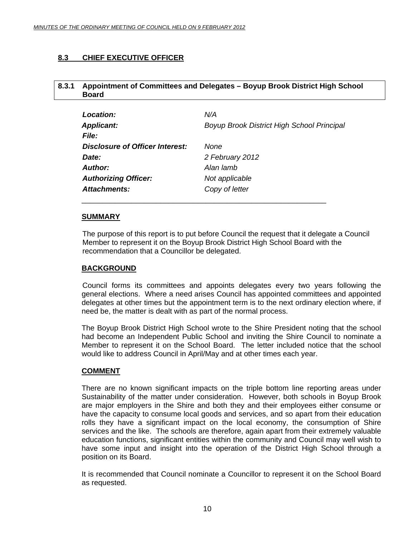### <span id="page-9-0"></span>**8.3 CHIEF EXECUTIVE OFFICER**

#### **8.3.1 Appointment of Committees and Delegates – Boyup Brook District High School Board**

| Location:                              | N/A                                               |
|----------------------------------------|---------------------------------------------------|
| <b>Applicant:</b>                      | <b>Boyup Brook District High School Principal</b> |
| <b>File:</b>                           |                                                   |
| <b>Disclosure of Officer Interest:</b> | None                                              |
| Date:                                  | 2 February 2012                                   |
| Author:                                | Alan lamb                                         |
| <b>Authorizing Officer:</b>            | Not applicable                                    |
| <b>Attachments:</b>                    | Copy of letter                                    |

\_\_\_\_\_\_\_\_\_\_\_\_\_\_\_\_\_\_\_\_\_\_\_\_\_\_\_\_\_\_\_\_\_\_\_\_\_\_\_\_\_\_\_\_\_\_\_\_\_\_\_\_\_\_\_\_\_\_\_

#### **SUMMARY**

The purpose of this report is to put before Council the request that it delegate a Council Member to represent it on the Boyup Brook District High School Board with the recommendation that a Councillor be delegated.

#### **BACKGROUND**

 Council forms its committees and appoints delegates every two years following the general elections. Where a need arises Council has appointed committees and appointed delegates at other times but the appointment term is to the next ordinary election where, if need be, the matter is dealt with as part of the normal process.

The Boyup Brook District High School wrote to the Shire President noting that the school had become an Independent Public School and inviting the Shire Council to nominate a Member to represent it on the School Board. The letter included notice that the school would like to address Council in April/May and at other times each year.

#### **COMMENT**

There are no known significant impacts on the triple bottom line reporting areas under Sustainability of the matter under consideration. However, both schools in Boyup Brook are major employers in the Shire and both they and their employees either consume or have the capacity to consume local goods and services, and so apart from their education rolls they have a significant impact on the local economy, the consumption of Shire services and the like. The schools are therefore, again apart from their extremely valuable education functions, significant entities within the community and Council may well wish to have some input and insight into the operation of the District High School through a position on its Board.

It is recommended that Council nominate a Councillor to represent it on the School Board as requested.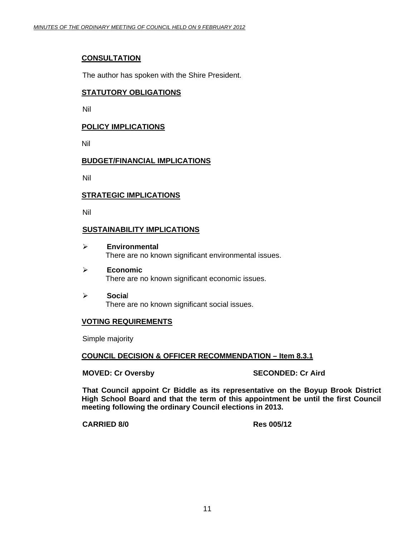#### **CONSULTATION**

The author has spoken with the Shire President.

#### **STATUTORY OBLIGATIONS**

Nil

#### **POLICY IMPLICATIONS**

Nil

#### **BUDGET/FINANCIAL IMPLICATIONS**

Nil

#### **STRATEGIC IMPLICATIONS**

Nil

#### **SUSTAINABILITY IMPLICATIONS**

- ¾ **Environmental**  There are no known significant environmental issues.
- ¾ **Economic**  There are no known significant economic issues.
- ¾ **Socia**l There are no known significant social issues.

#### **VOTING REQUIREMENTS**

Simple majority

#### **COUNCIL DECISION & OFFICER RECOMMENDATION – Item 8.3.1**

**MOVED: Cr Oversby SECONDED: Cr Aird 3DECONDED: Cr Aird 3DECONDED:** 

**That Council appoint Cr Biddle as its representative on the Boyup Brook District High School Board and that the term of this appointment be until the first Council meeting following the ordinary Council elections in 2013.** 

**CARRIED 8/0 Res 005/12**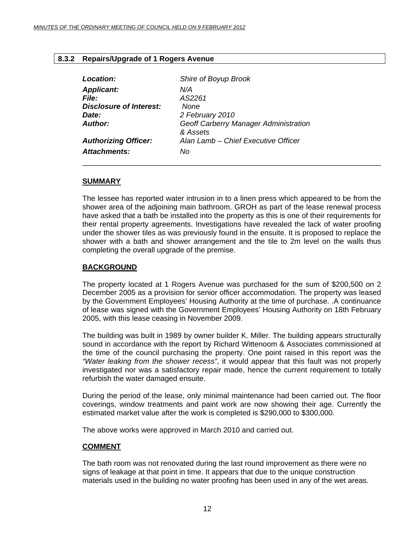#### <span id="page-11-0"></span>**8.3.2 Repairs/Upgrade of 1 Rogers Avenue**

| Location:                      | Shire of Boyup Brook                  |
|--------------------------------|---------------------------------------|
| <b>Applicant:</b>              | N/A                                   |
| <i>File:</i>                   | AS2261                                |
| <b>Disclosure of Interest:</b> | None                                  |
| Date:                          | 2 February 2010                       |
| Author:                        | Geoff Carberry Manager Administration |
|                                | & Assets                              |
| <b>Authorizing Officer:</b>    | Alan Lamb - Chief Executive Officer   |
| Attachments:                   | No                                    |

#### **SUMMARY**

The lessee has reported water intrusion in to a linen press which appeared to be from the shower area of the adjoining main bathroom. GROH as part of the lease renewal process have asked that a bath be installed into the property as this is one of their requirements for their rental property agreements. Investigations have revealed the lack of water proofing under the shower tiles as was previously found in the ensuite. It is proposed to replace the shower with a bath and shower arrangement and the tile to 2m level on the walls thus completing the overall upgrade of the premise.

\_\_\_\_\_\_\_\_\_\_\_\_\_\_\_\_\_\_\_\_\_\_\_\_\_\_\_\_\_\_\_\_\_\_\_\_\_\_\_\_\_\_\_\_\_\_\_\_\_\_\_\_\_\_\_\_\_\_\_\_\_\_\_\_\_\_\_\_\_\_\_\_

#### **BACKGROUND**

The property located at 1 Rogers Avenue was purchased for the sum of \$200,500 on 2 December 2005 as a provision for senior officer accommodation. The property was leased by the Government Employees' Housing Authority at the time of purchase. .A continuance of lease was signed with the Government Employees' Housing Authority on 18th February 2005, with this lease ceasing in November 2009.

The building was built in 1989 by owner builder K. Miller. The building appears structurally sound in accordance with the report by Richard Wittenoom & Associates commissioned at the time of the council purchasing the property. One point raised in this report was the *"Water leaking from the shower recess"*, it would appear that this fault was not properly investigated nor was a satisfactory repair made, hence the current requirement to totally refurbish the water damaged ensuite.

During the period of the lease, only minimal maintenance had been carried out. The floor coverings, window treatments and paint work are now showing their age. Currently the estimated market value after the work is completed is \$290,000 to \$300,000.

The above works were approved in March 2010 and carried out.

#### **COMMENT**

The bath room was not renovated during the last round improvement as there were no signs of leakage at that point in time. It appears that due to the unique construction materials used in the building no water proofing has been used in any of the wet areas.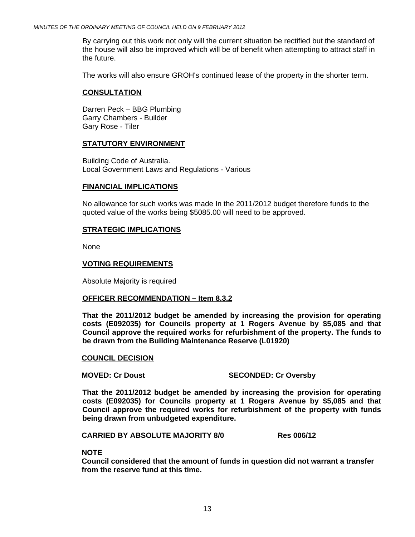By carrying out this work not only will the current situation be rectified but the standard of the house will also be improved which will be of benefit when attempting to attract staff in the future.

The works will also ensure GROH's continued lease of the property in the shorter term.

#### **CONSULTATION**

Darren Peck – BBG Plumbing Garry Chambers - Builder Gary Rose - Tiler

#### **STATUTORY ENVIRONMENT**

Building Code of Australia. Local Government Laws and Regulations - Various

#### **FINANCIAL IMPLICATIONS**

No allowance for such works was made In the 2011/2012 budget therefore funds to the quoted value of the works being \$5085.00 will need to be approved.

#### **STRATEGIC IMPLICATIONS**

None

#### **VOTING REQUIREMENTS**

Absolute Majority is required

#### **OFFICER RECOMMENDATION – Item 8.3.2**

**That the 2011/2012 budget be amended by increasing the provision for operating costs (E092035) for Councils property at 1 Rogers Avenue by \$5,085 and that Council approve the required works for refurbishment of the property. The funds to be drawn from the Building Maintenance Reserve (L01920)** 

#### **COUNCIL DECISION**

**MOVED: Cr Doust SECONDED: Cr Oversby** 

**That the 2011/2012 budget be amended by increasing the provision for operating costs (E092035) for Councils property at 1 Rogers Avenue by \$5,085 and that Council approve the required works for refurbishment of the property with funds being drawn from unbudgeted expenditure.** 

**CARRIED BY ABSOLUTE MAJORITY 8/0 Res 006/12** 

#### **NOTE**

**Council considered that the amount of funds in question did not warrant a transfer from the reserve fund at this time.**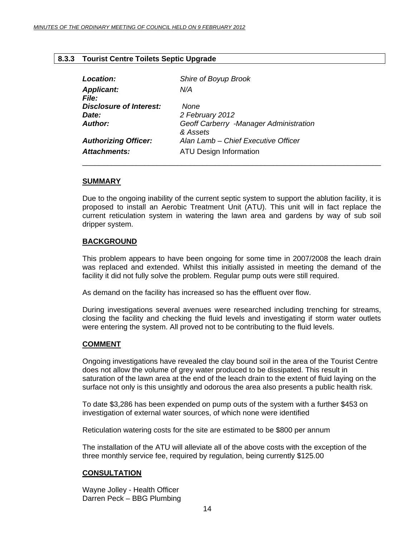#### <span id="page-13-0"></span>**8.3.3 Tourist Centre Toilets Septic Upgrade**

| Location:                               | Shire of Boyup Brook                   |
|-----------------------------------------|----------------------------------------|
| <b>Applicant:</b>                       | N/A                                    |
| <i>File:</i><br>Disclosure of Interest: | None                                   |
| <i>Date:</i>                            | 2 February 2012                        |
| Author:                                 | Geoff Carberry -Manager Administration |
|                                         | & Assets                               |
| <b>Authorizing Officer:</b>             | Alan Lamb - Chief Executive Officer    |
| <b>Attachments:</b>                     | <b>ATU Design Information</b>          |

#### **SUMMARY**

Due to the ongoing inability of the current septic system to support the ablution facility, it is proposed to install an Aerobic Treatment Unit (ATU). This unit will in fact replace the current reticulation system in watering the lawn area and gardens by way of sub soil dripper system.

#### **BACKGROUND**

This problem appears to have been ongoing for some time in 2007/2008 the leach drain was replaced and extended. Whilst this initially assisted in meeting the demand of the facility it did not fully solve the problem. Regular pump outs were still required.

As demand on the facility has increased so has the effluent over flow.

During investigations several avenues were researched including trenching for streams, closing the facility and checking the fluid levels and investigating if storm water outlets were entering the system. All proved not to be contributing to the fluid levels.

#### **COMMENT**

Ongoing investigations have revealed the clay bound soil in the area of the Tourist Centre does not allow the volume of grey water produced to be dissipated. This result in saturation of the lawn area at the end of the leach drain to the extent of fluid laying on the surface not only is this unsightly and odorous the area also presents a public health risk.

To date \$3,286 has been expended on pump outs of the system with a further \$453 on investigation of external water sources, of which none were identified

Reticulation watering costs for the site are estimated to be \$800 per annum

The installation of the ATU will alleviate all of the above costs with the exception of the three monthly service fee, required by regulation, being currently \$125.00

#### **CONSULTATION**

Wayne Jolley - Health Officer Darren Peck – BBG Plumbing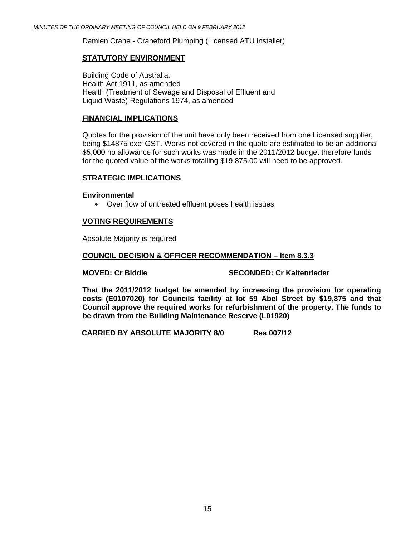Damien Crane - Craneford Plumping (Licensed ATU installer)

#### **STATUTORY ENVIRONMENT**

Building Code of Australia. Health Act 1911, as amended Health (Treatment of Sewage and Disposal of Effluent and Liquid Waste) Regulations 1974, as amended

#### **FINANCIAL IMPLICATIONS**

Quotes for the provision of the unit have only been received from one Licensed supplier, being \$14875 excl GST. Works not covered in the quote are estimated to be an additional \$5,000 no allowance for such works was made in the 2011/2012 budget therefore funds for the quoted value of the works totalling \$19 875.00 will need to be approved.

#### **STRATEGIC IMPLICATIONS**

#### **Environmental**

• Over flow of untreated effluent poses health issues

#### **VOTING REQUIREMENTS**

Absolute Majority is required

#### **COUNCIL DECISION & OFFICER RECOMMENDATION – Item 8.3.3**

**MOVED: Cr Biddle SECONDED: Cr Kaltenrieder CONDED: Cr Seconded ATT** 

**That the 2011/2012 budget be amended by increasing the provision for operating costs (E0107020) for Councils facility at lot 59 Abel Street by \$19,875 and that Council approve the required works for refurbishment of the property. The funds to be drawn from the Building Maintenance Reserve (L01920)** 

**CARRIED BY ABSOLUTE MAJORITY 8/0 Res 007/12**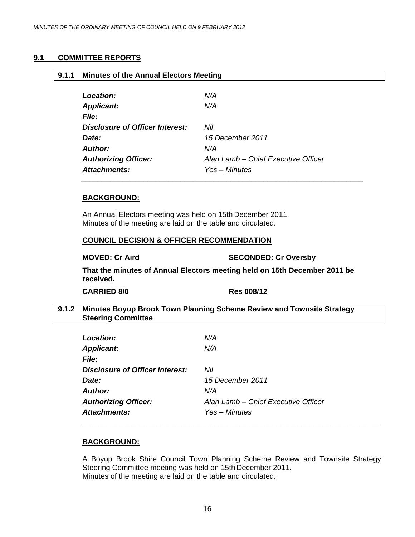#### <span id="page-15-0"></span>**9.1 COMMITTEE REPORTS**

| 9.1.1 | <b>Minutes of the Annual Electors Meeting</b> |                                     |
|-------|-----------------------------------------------|-------------------------------------|
|       | <b>Location:</b>                              | N/A                                 |
|       | <b>Applicant:</b>                             | N/A                                 |
|       | <b>File:</b>                                  |                                     |
|       | <b>Disclosure of Officer Interest:</b>        | Nil                                 |
|       | Date:                                         | 15 December 2011                    |
|       | Author:                                       | N/A                                 |
|       | <b>Authorizing Officer:</b>                   | Alan Lamb - Chief Executive Officer |
|       | <b>Attachments:</b>                           | Yes – Minutes                       |

#### **BACKGROUND:**

An Annual Electors meeting was held on 15th December 2011. Minutes of the meeting are laid on the table and circulated.

#### **COUNCIL DECISION & OFFICER RECOMMENDATION**

**MOVED: Cr Aird SECONDED: Cr Oversby** 

**That the minutes of Annual Electors meeting held on 15th December 2011 be received.** 

**CARRIED 8/0 Res 008/12** 

#### **9.1.2 Minutes Boyup Brook Town Planning Scheme Review and Townsite Strategy Steering Committee**

| <b>Location:</b>                       | N/A                                 |
|----------------------------------------|-------------------------------------|
| <b>Applicant:</b>                      | N/A                                 |
| <b>File:</b>                           |                                     |
| <b>Disclosure of Officer Interest:</b> | Nil                                 |
| Date:                                  | 15 December 2011                    |
| <b>Author:</b>                         | N/A                                 |
| <b>Authorizing Officer:</b>            | Alan Lamb - Chief Executive Officer |
| Attachments:                           | Yes – Minutes                       |

#### **BACKGROUND:**

A Boyup Brook Shire Council Town Planning Scheme Review and Townsite Strategy Steering Committee meeting was held on 15th December 2011. Minutes of the meeting are laid on the table and circulated.

*\_\_\_\_\_\_\_\_\_\_\_\_\_\_\_\_\_\_\_\_\_\_\_\_\_\_\_\_\_\_\_\_\_\_\_\_\_\_\_\_\_\_\_\_\_\_\_\_\_\_\_\_\_\_\_\_\_\_\_\_\_\_\_\_\_\_\_\_\_\_\_\_*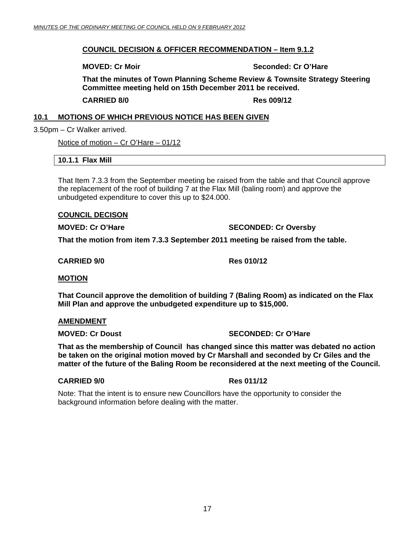#### <span id="page-16-0"></span>**COUNCIL DECISION & OFFICER RECOMMENDATION – Item 9.1.2**

**MOVED: Cr Moir**  $\qquad \qquad$  **Seconded: Cr O'Hare** 

**That the minutes of Town Planning Scheme Review & Townsite Strategy Steering Committee meeting held on 15th December 2011 be received.** 

**CARRIED 8/0 Res 009/12** 

#### **10.1 MOTIONS OF WHICH PREVIOUS NOTICE HAS BEEN GIVEN**

3.50pm – Cr Walker arrived.

Notice of motion – Cr O'Hare – 01/12

#### **10.1.1 Flax Mill**

That Item 7.3.3 from the September meeting be raised from the table and that Council approve the replacement of the roof of building 7 at the Flax Mill (baling room) and approve the unbudgeted expenditure to cover this up to \$24.000.

#### **COUNCIL DECISON**

**MOVED: Cr O'Hare SECONDED: Cr Oversby** 

**That the motion from item 7.3.3 September 2011 meeting be raised from the table.** 

**CARRIED 9/0 Res 010/12** 

#### **MOTION**

**That Council approve the demolition of building 7 (Baling Room) as indicated on the Flax Mill Plan and approve the unbudgeted expenditure up to \$15,000.** 

#### **AMENDMENT**

**MOVED: Cr Doust Critics** SECONDED: Cr O'Hare

**That as the membership of Council has changed since this matter was debated no action be taken on the original motion moved by Cr Marshall and seconded by Cr Giles and the matter of the future of the Baling Room be reconsidered at the next meeting of the Council.** 

#### **CARRIED 9/0 Res 011/12**

Note: That the intent is to ensure new Councillors have the opportunity to consider the background information before dealing with the matter.